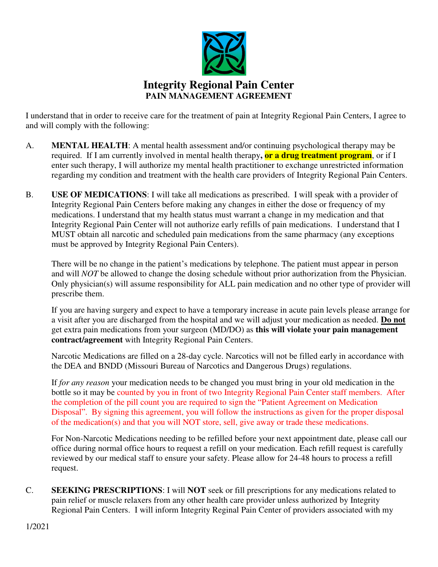

I understand that in order to receive care for the treatment of pain at Integrity Regional Pain Centers, I agree to and will comply with the following:

- A. **MENTAL HEALTH**: A mental health assessment and/or continuing psychological therapy may be required. If I am currently involved in mental health therapy**, or a drug treatment program**, or if I enter such therapy, I will authorize my mental health practitioner to exchange unrestricted information regarding my condition and treatment with the health care providers of Integrity Regional Pain Centers.
- B. **USE OF MEDICATIONS**: I will take all medications as prescribed. I will speak with a provider of Integrity Regional Pain Centers before making any changes in either the dose or frequency of my medications. I understand that my health status must warrant a change in my medication and that Integrity Regional Pain Center will not authorize early refills of pain medications. I understand that I MUST obtain all narcotic and scheduled pain medications from the same pharmacy (any exceptions must be approved by Integrity Regional Pain Centers).

There will be no change in the patient's medications by telephone. The patient must appear in person and will *NOT* be allowed to change the dosing schedule without prior authorization from the Physician. Only physician(s) will assume responsibility for ALL pain medication and no other type of provider will prescribe them.

If you are having surgery and expect to have a temporary increase in acute pain levels please arrange for a visit after you are discharged from the hospital and we will adjust your medication as needed. **Do not** get extra pain medications from your surgeon (MD/DO) as **this will violate your pain management contract/agreement** with Integrity Regional Pain Centers.

Narcotic Medications are filled on a 28-day cycle. Narcotics will not be filled early in accordance with the DEA and BNDD (Missouri Bureau of Narcotics and Dangerous Drugs) regulations.

If *for any reason* your medication needs to be changed you must bring in your old medication in the bottle so it may be counted by you in front of two Integrity Regional Pain Center staff members. After the completion of the pill count you are required to sign the "Patient Agreement on Medication Disposal". By signing this agreement, you will follow the instructions as given for the proper disposal of the medication(s) and that you will NOT store, sell, give away or trade these medications.

For Non-Narcotic Medications needing to be refilled before your next appointment date, please call our office during normal office hours to request a refill on your medication. Each refill request is carefully reviewed by our medical staff to ensure your safety. Please allow for 24-48 hours to process a refill request.

C. **SEEKING PRESCRIPTIONS**: I will **NOT** seek or fill prescriptions for any medications related to pain relief or muscle relaxers from any other health care provider unless authorized by Integrity Regional Pain Centers. I will inform Integrity Reginal Pain Center of providers associated with my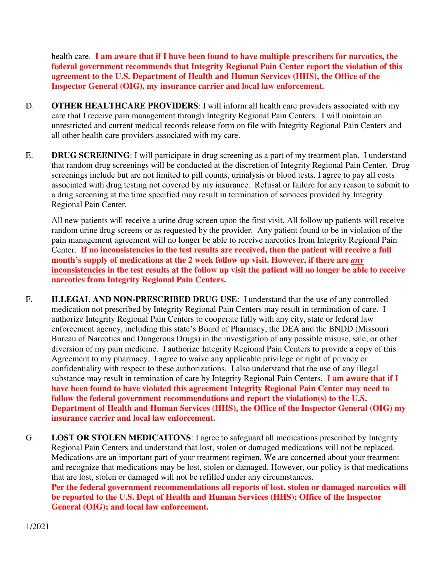health care. **I am aware that if I have been found to have multiple prescribers for narcotics, the federal government recommends that Integrity Regional Pain Center report the violation of this agreement to the U.S. Department of Health and Human Services (HHS), the Office of the Inspector General (OIG), my insurance carrier and local law enforcement.** 

- D. **OTHER HEALTHCARE PROVIDERS**: I will inform all health care providers associated with my care that I receive pain management through Integrity Regional Pain Centers. I will maintain an unrestricted and current medical records release form on file with Integrity Regional Pain Centers and all other health care providers associated with my care.
- E. **DRUG SCREENING**: I will participate in drug screening as a part of my treatment plan. I understand that random drug screenings will be conducted at the discretion of Integrity Regional Pain Center. Drug screenings include but are not limited to pill counts, urinalysis or blood tests. I agree to pay all costs associated with drug testing not covered by my insurance. Refusal or failure for any reason to submit to a drug screening at the time specified may result in termination of services provided by Integrity Regional Pain Center.

All new patients will receive a urine drug screen upon the first visit. All follow up patients will receive random urine drug screens or as requested by the provider. Any patient found to be in violation of the pain management agreement will no longer be able to receive narcotics from Integrity Regional Pain Center. **If no inconsistencies in the test results are received, then the patient will receive a full month's supply of medications at the 2 week follow up visit. However, if there are** *any* **inconsistencies in the test results at the follow up visit the patient will no longer be able to receive narcotics from Integrity Regional Pain Centers.** 

- F. **ILLEGAL AND NON-PRESCRIBED DRUG USE**: I understand that the use of any controlled medication not prescribed by Integrity Regional Pain Centers may result in termination of care. I authorize Integrity Regional Pain Centers to cooperate fully with any city, state or federal law enforcement agency, including this state's Board of Pharmacy, the DEA and the BNDD (Missouri Bureau of Narcotics and Dangerous Drugs) in the investigation of any possible misuse, sale, or other diversion of my pain medicine. I authorize Integrity Regional Pain Centers to provide a copy of this Agreement to my pharmacy. I agree to waive any applicable privilege or right of privacy or confidentiality with respect to these authorizations. I also understand that the use of any illegal substance may result in termination of care by Integrity Regional Pain Centers. **I am aware that if I have been found to have violated this agreement Integrity Regional Pain Center may need to follow the federal government recommendations and report the violation(s) to the U.S. Department of Health and Human Services (HHS), the Office of the Inspector General (OIG) my insurance carrier and local law enforcement.**
- G. **LOST OR STOLEN MEDICAITONS**: I agree to safeguard all medications prescribed by Integrity Regional Pain Centers and understand that lost, stolen or damaged medications will not be replaced. Medications are an important part of your treatment regimen. We are concerned about your treatment and recognize that medications may be lost, stolen or damaged. However, our policy is that medications that are lost, stolen or damaged will not be refilled under any circumstances. **Per the federal government recommendations all reports of lost, stolen or damaged narcotics will be reported to the U.S. Dept of Health and Human Services (HHS); Office of the Inspector General (OIG); and local law enforcement.**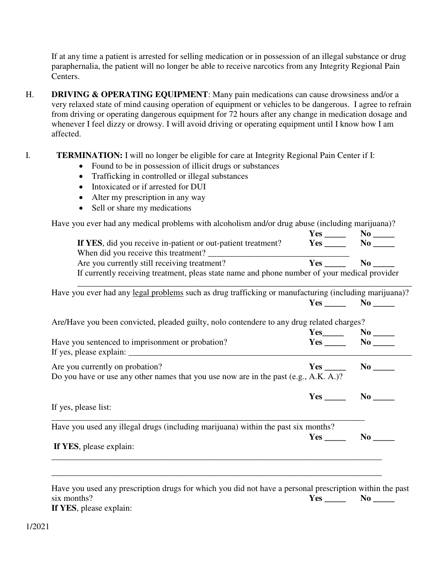If at any time a patient is arrested for selling medication or in possession of an illegal substance or drug paraphernalia, the patient will no longer be able to receive narcotics from any Integrity Regional Pain Centers.

- H. **DRIVING & OPERATING EQUIPMENT**: Many pain medications can cause drowsiness and/or a very relaxed state of mind causing operation of equipment or vehicles to be dangerous. I agree to refrain from driving or operating dangerous equipment for 72 hours after any change in medication dosage and whenever I feel dizzy or drowsy. I will avoid driving or operating equipment until I know how I am affected.
- I. **TERMINATION:** I will no longer be eligible for care at Integrity Regional Pain Center if I:
	- Found to be in possession of illicit drugs or substances
	- Trafficking in controlled or illegal substances
	- Intoxicated or if arrested for DUI
	- Alter my prescription in any way
	- Sell or share my medications

Have you ever had any medical problems with alcoholism and/or drug abuse (including marijuana)?

|                                                                                              | Yes  |  |
|----------------------------------------------------------------------------------------------|------|--|
| If YES, did you receive in-patient or out-patient treatment?                                 | Yes  |  |
| When did you receive this treatment?                                                         |      |  |
| Are you currently still receiving treatment?                                                 | Yes. |  |
| If currently receiving treatment, pleas state name and phone number of your medical provider |      |  |

| Have you ever had any legal problems such as drug trafficking or manufacturing (including marijuana)? |
|-------------------------------------------------------------------------------------------------------|
|                                                                                                       |
| Are/Have you been convicted, pleaded guilty, nolo contendere to any drug related charges?             |

| If yes, please explain: $\frac{1}{2}$ = $\frac{1}{2}$ = $\frac{1}{2}$ = $\frac{1}{2}$ = $\frac{1}{2}$ = $\frac{1}{2}$ = $\frac{1}{2}$ = $\frac{1}{2}$ = $\frac{1}{2}$ = $\frac{1}{2}$ = $\frac{1}{2}$ = $\frac{1}{2}$ = $\frac{1}{2}$ = $\frac{1}{2}$ = $\frac{1}{2}$ = $\frac{1}{2}$ = $\frac{1$<br>Are you currently on probation? |     | $Yes$ No $No$ |
|--------------------------------------------------------------------------------------------------------------------------------------------------------------------------------------------------------------------------------------------------------------------------------------------------------------------------------------|-----|---------------|
| Do you have or use any other names that you use now are in the past (e.g., A.K. A.)?                                                                                                                                                                                                                                                 |     |               |
|                                                                                                                                                                                                                                                                                                                                      |     | $\bf{No}$     |
| If yes, please list:                                                                                                                                                                                                                                                                                                                 |     |               |
| Have you used any illegal drugs (including marijuana) within the past six months?                                                                                                                                                                                                                                                    |     |               |
|                                                                                                                                                                                                                                                                                                                                      | Yes | $\bf{No}$     |
| If YES, please explain:                                                                                                                                                                                                                                                                                                              |     |               |

Have you used any prescription drugs for which you did not have a personal prescription within the past six months? **Yes Wo If YES**, please explain:

1/2021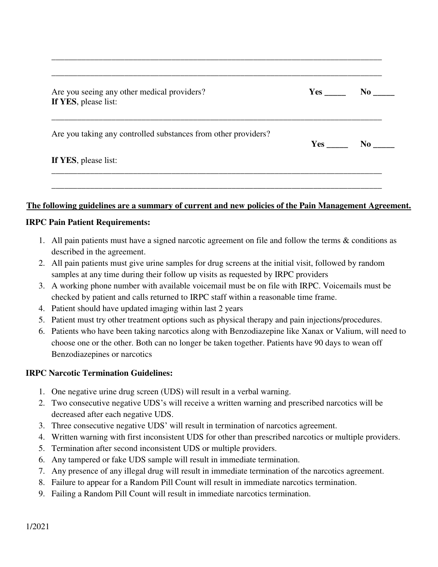| Are you seeing any other medical providers?<br>If YES, please list: | $Yes$ <sub>_______</sub> | $\bf No$ |
|---------------------------------------------------------------------|--------------------------|----------|
| Are you taking any controlled substances from other providers?      | Yes                      | $\bf No$ |
| If YES, please list:                                                |                          |          |

\_\_\_\_\_\_\_\_\_\_\_\_\_\_\_\_\_\_\_\_\_\_\_\_\_\_\_\_\_\_\_\_\_\_\_\_\_\_\_\_\_\_\_\_\_\_\_\_\_\_\_\_\_\_\_\_\_\_\_\_\_\_\_\_\_\_\_\_\_\_\_\_\_\_\_\_\_

## **The following guidelines are a summary of current and new policies of the Pain Management Agreement.**

## **IRPC Pain Patient Requirements:**

- 1. All pain patients must have a signed narcotic agreement on file and follow the terms & conditions as described in the agreement.
- 2. All pain patients must give urine samples for drug screens at the initial visit, followed by random samples at any time during their follow up visits as requested by IRPC providers
- 3. A working phone number with available voicemail must be on file with IRPC. Voicemails must be checked by patient and calls returned to IRPC staff within a reasonable time frame.
- 4. Patient should have updated imaging within last 2 years
- 5. Patient must try other treatment options such as physical therapy and pain injections/procedures.
- 6. Patients who have been taking narcotics along with Benzodiazepine like Xanax or Valium, will need to choose one or the other. Both can no longer be taken together. Patients have 90 days to wean off Benzodiazepines or narcotics

## **IRPC Narcotic Termination Guidelines:**

- 1. One negative urine drug screen (UDS) will result in a verbal warning.
- 2. Two consecutive negative UDS's will receive a written warning and prescribed narcotics will be decreased after each negative UDS.
- 3. Three consecutive negative UDS' will result in termination of narcotics agreement.
- 4. Written warning with first inconsistent UDS for other than prescribed narcotics or multiple providers.
- 5. Termination after second inconsistent UDS or multiple providers.
- 6. Any tampered or fake UDS sample will result in immediate termination.
- 7. Any presence of any illegal drug will result in immediate termination of the narcotics agreement.
- 8. Failure to appear for a Random Pill Count will result in immediate narcotics termination.
- 9. Failing a Random Pill Count will result in immediate narcotics termination.